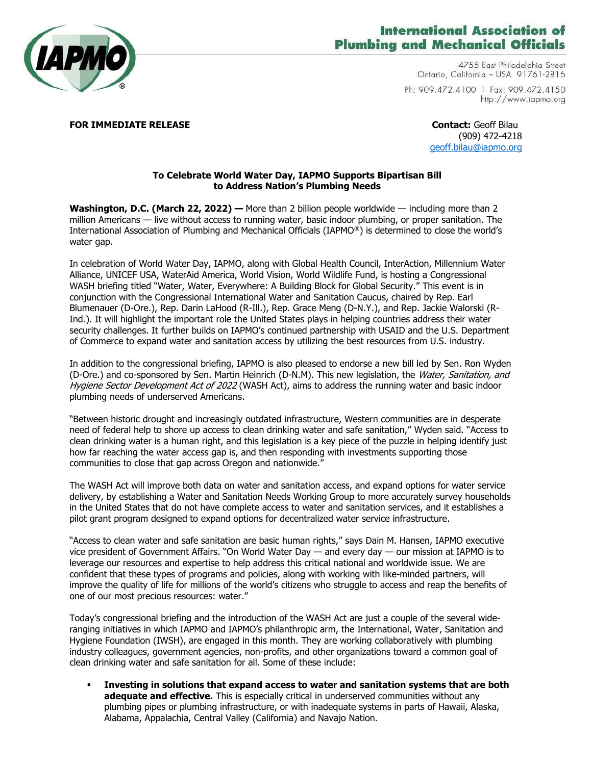

## **International Association of Plumbing and Mechanical Officials**

4755 East Philadelphia Street Ontario, California - USA 91761-2816 Ph: 909.472.4100 | Fax: 909.472.4150 http://www.iapmo.org

**FOR IMMEDIATE RELEASE CONTACT CONTACT:** Geoff Bilau

(909) 472-4218 [geoff.bilau@iapmo.org](mailto:geoff.bilau@iapmo.org)

## **To Celebrate World Water Day, IAPMO Supports Bipartisan Bill to Address Nation's Plumbing Needs**

**Washington, D.C. (March 22, 2022) —** More than 2 billion people worldwide — including more than 2 million Americans — live without access to running water, basic indoor plumbing, or proper sanitation. The International Association of Plumbing and Mechanical Officials (IAPMO®) is determined to close the world's water gap.

In celebration of World Water Day, IAPMO, along with Global Health Council, InterAction, Millennium Water Alliance, UNICEF USA, WaterAid America, World Vision, World Wildlife Fund, is hosting a Congressional WASH briefing titled "Water, Water, Everywhere: A Building Block for Global Security." This event is in conjunction with the Congressional International Water and Sanitation Caucus, chaired by Rep. Earl Blumenauer (D-Ore.), Rep. Darin LaHood (R-Ill.), Rep. Grace Meng (D-N.Y.), and Rep. Jackie Walorski (R-Ind.). It will highlight the important role the United States plays in helping countries address their water security challenges. It further builds on IAPMO's continued partnership with USAID and the U.S. Department of Commerce to expand water and sanitation access by utilizing the best resources from U.S. industry.

In addition to the congressional briefing, IAPMO is also pleased to endorse a new bill led by Sen. Ron Wyden (D-Ore.) and co-sponsored by Sen. Martin Heinrich (D-N.M). This new legislation, the *Water, Sanitation, and* Hygiene Sector Development Act of 2022 (WASH Act), aims to address the running water and basic indoor plumbing needs of underserved Americans.

"Between historic drought and increasingly outdated infrastructure, Western communities are in desperate need of federal help to shore up access to clean drinking water and safe sanitation," Wyden said. "Access to clean drinking water is a human right, and this legislation is a key piece of the puzzle in helping identify just how far reaching the water access gap is, and then responding with investments supporting those communities to close that gap across Oregon and nationwide."

The WASH Act will improve both data on water and sanitation access, and expand options for water service delivery, by establishing a Water and Sanitation Needs Working Group to more accurately survey households in the United States that do not have complete access to water and sanitation services, and it establishes a pilot grant program designed to expand options for decentralized water service infrastructure.

"Access to clean water and safe sanitation are basic human rights," says Dain M. Hansen, IAPMO executive vice president of Government Affairs. "On World Water Day — and every day — our mission at IAPMO is to leverage our resources and expertise to help address this critical national and worldwide issue. We are confident that these types of programs and policies, along with working with like-minded partners, will improve the quality of life for millions of the world's citizens who struggle to access and reap the benefits of one of our most precious resources: water."

Today's congressional briefing and the introduction of the WASH Act are just a couple of the several wideranging initiatives in which IAPMO and IAPMO's philanthropic arm, the International, Water, Sanitation and Hygiene Foundation (IWSH), are engaged in this month. They are working collaboratively with plumbing industry colleagues, government agencies, non-profits, and other organizations toward a common goal of clean drinking water and safe sanitation for all. Some of these include:

▪ **Investing in solutions that expand access to water and sanitation systems that are both adequate and effective.** This is especially critical in underserved communities without any plumbing pipes or plumbing infrastructure, or with inadequate systems in parts of Hawaii, Alaska, Alabama, Appalachia, Central Valley (California) and Navajo Nation.